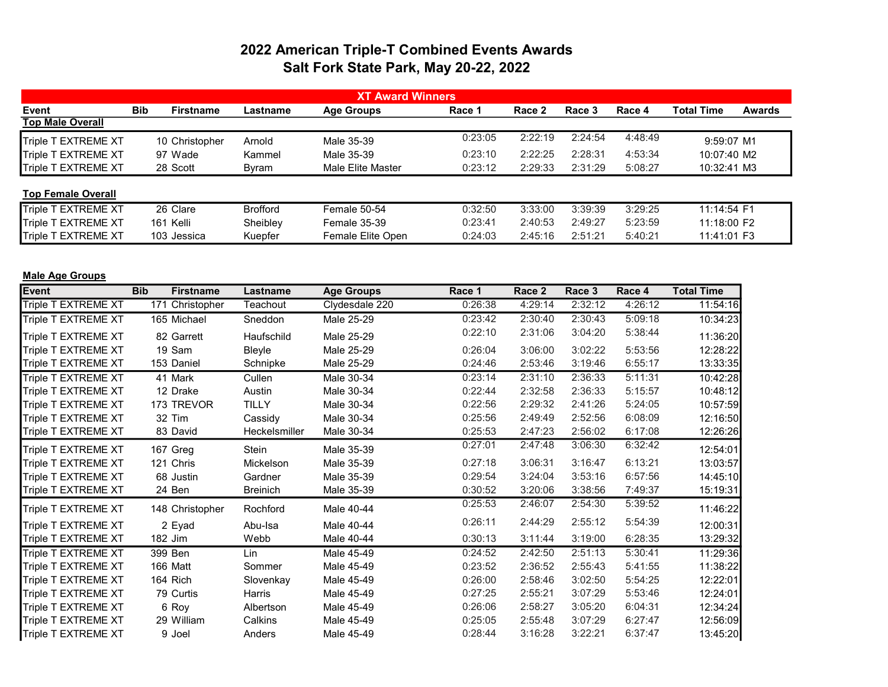## 2022 American Triple-T Combined Events Awards Salt Fork State Park, May 20-22, 2022

|                           |            |                  |                 | <b>XT Award Winners</b> |         |         |         |         |              |               |
|---------------------------|------------|------------------|-----------------|-------------------------|---------|---------|---------|---------|--------------|---------------|
| Event                     | <b>Bib</b> | <b>Firstname</b> | Lastname        | <b>Age Groups</b>       | Race 1  | Race 2  | Race 3  | Race 4  | Total Time   | <b>Awards</b> |
| <b>Top Male Overall</b>   |            |                  |                 |                         |         |         |         |         |              |               |
| Triple T EXTREME XT       |            | 10 Christopher   | Arnold          | Male 35-39              | 0:23:05 | 2:22:19 | 2:24:54 | 4:48:49 | $9:59:07$ M1 |               |
| Triple T EXTREME XT       |            | 97 Wade          | Kammel          | Male 35-39              | 0:23:10 | 2:22:25 | 2:28:31 | 4:53:34 | 10:07:40 M2  |               |
| Triple T EXTREME XT       |            | 28 Scott         | Byram           | Male Elite Master       | 0:23:12 | 2:29:33 | 2:31:29 | 5:08:27 | 10:32:41 M3  |               |
| <b>Top Female Overall</b> |            |                  |                 |                         |         |         |         |         |              |               |
| Triple T EXTREME XT       |            | 26 Clare         | <b>Brofford</b> | Female 50-54            | 0:32:50 | 3:33:00 | 3:39:39 | 3:29:25 | 11:14:54 F1  |               |
| Triple T EXTREME XT       |            | 161 Kelli        | Sheibley        | <b>Female 35-39</b>     | 0:23:41 | 2:40:53 | 2:49:27 | 5:23:59 | 11:18:00 F2  |               |
| Triple T EXTREME XT       |            | 103 Jessica      | Kuepfer         | Female Elite Open       | 0:24:03 | 2:45:16 | 2:51:21 | 5:40:21 | 11:41:01 F3  |               |

| <b>Male Age Groups</b> |    |
|------------------------|----|
|                        | -- |

| Event               | <b>Bib</b><br><b>Firstname</b> | Lastname        | <b>Age Groups</b> | Race 1  | Race 2  | Race 3  | Race 4  | <b>Total Time</b> |
|---------------------|--------------------------------|-----------------|-------------------|---------|---------|---------|---------|-------------------|
| Triple T EXTREME XT | Christopher<br>171             | Teachout        | Clydesdale 220    | 0:26:38 | 4:29:14 | 2:32:12 | 4:26:12 | 11:54:16          |
| Triple T EXTREME XT | 165 Michael                    | Sneddon         | Male 25-29        | 0:23:42 | 2:30:40 | 2:30:43 | 5:09:18 | 10:34:23          |
| Triple T EXTREME XT | 82 Garrett                     | Haufschild      | Male 25-29        | 0:22:10 | 2:31:06 | 3:04:20 | 5:38:44 | 11:36:20          |
| Triple T EXTREME XT | 19 Sam                         | Bleyle          | Male 25-29        | 0:26:04 | 3:06:00 | 3:02:22 | 5:53:56 | 12:28:22          |
| Triple T EXTREME XT | 153 Daniel                     | Schnipke        | Male 25-29        | 0:24:46 | 2:53:46 | 3:19:46 | 6:55:17 | 13:33:35          |
| Triple T EXTREME XT | 41 Mark                        | Cullen          | Male 30-34        | 0:23:14 | 2:31:10 | 2:36:33 | 5:11:31 | 10:42:28          |
| Triple T EXTREME XT | 12 Drake                       | Austin          | Male 30-34        | 0:22:44 | 2:32:58 | 2:36:33 | 5:15:57 | 10:48:12          |
| Triple T EXTREME XT | 173 TREVOR                     | <b>TILLY</b>    | Male 30-34        | 0:22:56 | 2:29:32 | 2:41:26 | 5:24:05 | 10:57:59          |
| Triple T EXTREME XT | 32 Tim                         | Cassidy         | Male 30-34        | 0:25:56 | 2:49:49 | 2:52:56 | 6:08:09 | 12:16:50          |
| Triple T EXTREME XT | 83 David                       | Heckelsmiller   | Male 30-34        | 0:25:53 | 2:47:23 | 2:56:02 | 6:17:08 | 12:26:26          |
| Triple T EXTREME XT | 167 Greg                       | <b>Stein</b>    | Male 35-39        | 0:27:01 | 2:47:48 | 3:06:30 | 6:32:42 | 12:54:01          |
| Triple T EXTREME XT | 121 Chris                      | Mickelson       | Male 35-39        | 0:27:18 | 3:06:31 | 3:16:47 | 6:13:21 | 13:03:57          |
| Triple T EXTREME XT | 68 Justin                      | Gardner         | Male 35-39        | 0:29:54 | 3:24:04 | 3:53:16 | 6:57:56 | 14:45:10          |
| Triple T EXTREME XT | 24 Ben                         | <b>Breinich</b> | Male 35-39        | 0:30:52 | 3:20:06 | 3:38:56 | 7:49:37 | 15:19:31          |
| Triple T EXTREME XT | 148 Christopher                | Rochford        | Male 40-44        | 0:25:53 | 2:46:07 | 2:54:30 | 5:39:52 | 11:46:22          |
| Triple T EXTREME XT | 2 Eyad                         | Abu-Isa         | Male 40-44        | 0:26:11 | 2:44:29 | 2:55:12 | 5:54:39 | 12:00:31          |
| Triple T EXTREME XT | 182 Jim                        | Webb            | Male 40-44        | 0:30:13 | 3:11:44 | 3:19:00 | 6:28:35 | 13:29:32          |
| Triple T EXTREME XT | 399 Ben                        | Lin             | Male 45-49        | 0:24:52 | 2:42:50 | 2:51:13 | 5:30:41 | 11:29:36          |
| Triple T EXTREME XT | 166 Matt                       | Sommer          | Male 45-49        | 0:23:52 | 2:36:52 | 2:55:43 | 5:41:55 | 11:38:22          |
| Triple T EXTREME XT | 164 Rich                       | Slovenkay       | Male 45-49        | 0:26:00 | 2:58:46 | 3:02:50 | 5:54:25 | 12:22:01          |
| Triple T EXTREME XT | 79 Curtis                      | Harris          | Male 45-49        | 0:27:25 | 2:55:21 | 3:07:29 | 5:53:46 | 12:24:01          |
| Triple T EXTREME XT | 6 Roy                          | Albertson       | Male 45-49        | 0:26:06 | 2:58:27 | 3:05:20 | 6:04:31 | 12:34:24          |
| Triple T EXTREME XT | 29 William                     | Calkins         | Male 45-49        | 0:25:05 | 2:55:48 | 3:07:29 | 6:27:47 | 12:56:09          |
| Triple T EXTREME XT | 9 Joel                         | Anders          | Male 45-49        | 0:28:44 | 3:16:28 | 3:22:21 | 6:37:47 | 13:45:20          |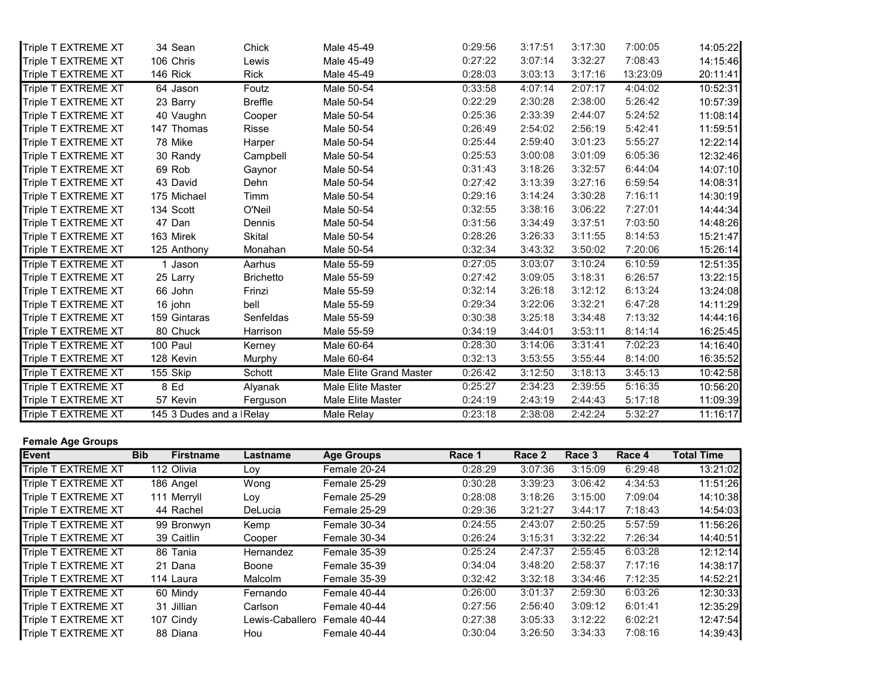| <b>Event</b>               | <b>Bib</b><br><b>Firstname</b> | Lastname         | Age Groups              | Race 1  | Race 2  | Race 3  | Race 4   | <b>Total Time</b> |
|----------------------------|--------------------------------|------------------|-------------------------|---------|---------|---------|----------|-------------------|
| <b>Female Age Groups</b>   |                                |                  |                         |         |         |         |          |                   |
| Triple T EXTREME XT        | 145 3 Dudes and a   Relay      |                  | Male Relay              | 0:23:18 | 2:38:08 | 2:42:24 | 5:32:27  | 11:16:17          |
| Triple T EXTREME XT        | 57 Kevin                       | Ferguson         | Male Elite Master       | 0:24:19 | 2:43:19 | 2:44:43 | 5:17:18  | 11:09:39          |
| Triple T EXTREME XT        | 8 Ed                           | Alyanak          | Male Elite Master       | 0:25:27 | 2:34:23 | 2:39:55 | 5:16:35  | 10:56:20          |
| <b>Triple T EXTREME XT</b> | 155 Skip                       | Schott           | Male Elite Grand Master | 0:26:42 | 3:12:50 | 3:18:13 | 3:45:13  | 10:42:58          |
| Triple T EXTREME XT        | 128 Kevin                      | Murphy           | Male 60-64              | 0:32:13 | 3:53:55 | 3:55:44 | 8:14:00  | 16:35:52          |
| Triple T EXTREME XT        | 100 Paul                       | Kerney           | Male 60-64              | 0:28:30 | 3:14:06 | 3:31:41 | 7:02:23  | 14:16:40          |
| Triple T EXTREME XT        | 80 Chuck                       | Harrison         | Male 55-59              | 0:34:19 | 3:44:01 | 3:53:11 | 8:14:14  | 16:25:45          |
| Triple T EXTREME XT        | 159 Gintaras                   | Senfeldas        | Male 55-59              | 0:30:38 | 3:25:18 | 3:34:48 | 7:13:32  | 14:44:16          |
| Triple T EXTREME XT        | 16 john                        | bell             | Male 55-59              | 0:29:34 | 3:22:06 | 3:32:21 | 6:47:28  | 14:11:29          |
| Triple T EXTREME XT        | 66 John                        | Frinzi           | Male 55-59              | 0:32:14 | 3:26:18 | 3:12:12 | 6:13:24  | 13:24:08          |
| Triple T EXTREME XT        | 25 Larry                       | <b>Brichetto</b> | Male 55-59              | 0:27:42 | 3:09:05 | 3:18:31 | 6:26:57  | 13:22:15          |
| <b>Triple T EXTREME XT</b> | 1 Jason                        | Aarhus           | Male 55-59              | 0:27:05 | 3:03:07 | 3:10:24 | 6:10:59  | 12:51:35          |
| Triple T EXTREME XT        | 125 Anthony                    | Monahan          | Male 50-54              | 0:32:34 | 3:43:32 | 3:50:02 | 7:20:06  | 15:26:14          |
| Triple T EXTREME XT        | 163 Mirek                      | Skital           | Male 50-54              | 0:28:26 | 3:26:33 | 3:11:55 | 8:14:53  | 15:21:47          |
| Triple T EXTREME XT        | 47 Dan                         | Dennis           | Male 50-54              | 0:31:56 | 3:34:49 | 3:37:51 | 7:03:50  | 14:48:26          |
| Triple T EXTREME XT        | 134 Scott                      | O'Neil           | Male 50-54              | 0:32:55 | 3:38:16 | 3:06:22 | 7:27:01  | 14:44:34          |
| Triple T EXTREME XT        | 175 Michael                    | Timm             | Male 50-54              | 0:29:16 | 3:14:24 | 3:30:28 | 7:16:11  | 14:30:19          |
| Triple T EXTREME XT        | 43 David                       | Dehn             | Male 50-54              | 0:27:42 | 3:13:39 | 3:27:16 | 6:59:54  | 14:08:31          |
| Triple T EXTREME XT        | 69 Rob                         | Gaynor           | Male 50-54              | 0:31:43 | 3:18:26 | 3:32:57 | 6:44:04  | 14:07:10          |
| Triple T EXTREME XT        | 30 Randy                       | Campbell         | Male 50-54              | 0:25:53 | 3:00:08 | 3:01:09 | 6:05:36  | 12:32:46          |
| Triple T EXTREME XT        | 78 Mike                        | Harper           | Male 50-54              | 0:25:44 | 2:59:40 | 3:01:23 | 5:55:27  | 12:22:14          |
| Triple T EXTREME XT        | 147 Thomas                     | Risse            | Male 50-54              | 0:26:49 | 2:54:02 | 2:56:19 | 5:42:41  | 11:59:51          |
| Triple T EXTREME XT        | 40 Vaughn                      | Cooper           | Male 50-54              | 0:25:36 | 2:33:39 | 2:44:07 | 5:24:52  | 11:08:14          |
| Triple T EXTREME XT        | 23 Barry                       | <b>Breffle</b>   | Male 50-54              | 0:22:29 | 2:30:28 | 2:38:00 | 5:26:42  | 10:57:39          |
| Triple T EXTREME XT        | 64 Jason                       | Foutz            | Male 50-54              | 0:33:58 | 4:07:14 | 2:07:17 | 4:04:02  | 10:52:31          |
| Triple T EXTREME XT        | 146 Rick                       | <b>Rick</b>      | Male 45-49              | 0:28:03 | 3:03:13 | 3:17:16 | 13:23:09 | 20:11:41          |
| Triple T EXTREME XT        | 106 Chris                      | Lewis            | Male 45-49              | 0:27:22 | 3:07:14 | 3:32:27 | 7:08:43  | 14:15:46          |
| Triple T EXTREME XT        | 34 Sean                        | Chick            | Male 45-49              | 0:29:56 | 3:17:51 | 3:17:30 | 7:00:05  | 14:05:22          |

| <b>IEvent</b>              | <b>Bib</b><br><b>Firstname</b> | Lastname        | <b>Age Groups</b>   | Race 1  | Race 2  | Race 3  | Race 4  | <b>Total Time</b> |
|----------------------------|--------------------------------|-----------------|---------------------|---------|---------|---------|---------|-------------------|
| Triple T EXTREME XT        | 112 Olivia                     | Loy             | Female 20-24        | 0:28:29 | 3:07:36 | 3:15:09 | 6:29:48 | 13:21:02          |
| Triple T EXTREME XT        | 186 Angel                      | Wong            | Female 25-29        | 0:30:28 | 3:39:23 | 3:06:42 | 4:34:53 | 11:51:26          |
| <b>Triple T EXTREME XT</b> | 111 Merryll                    | Loy             | Female 25-29        | 0:28:08 | 3:18:26 | 3:15:00 | 7:09:04 | 14:10:38          |
| Triple T EXTREME XT        | 44 Rachel                      | DeLucia         | Female 25-29        | 0:29:36 | 3:21:27 | 3:44:17 | 7:18:43 | 14:54:03          |
| Triple T EXTREME XT        | 99 Bronwyn                     | Kemp            | Female 30-34        | 0:24:55 | 2:43:07 | 2:50:25 | 5:57:59 | 11:56:26          |
| Triple T EXTREME XT        | 39 Caitlin                     | Cooper          | Female 30-34        | 0:26:24 | 3:15:31 | 3:32:22 | 7:26:34 | 14:40:51          |
| Triple T EXTREME XT        | 86 Tania                       | Hernandez       | <b>Female 35-39</b> | 0:25:24 | 2:47:37 | 2:55:45 | 6:03:28 | 12:12:14          |
| Triple T EXTREME XT        | 21 Dana                        | Boone           | <b>Female 35-39</b> | 0:34:04 | 3:48:20 | 2:58:37 | 7:17:16 | 14:38:17          |
| Triple T EXTREME XT        | 114 Laura                      | Malcolm         | <b>Female 35-39</b> | 0:32:42 | 3:32:18 | 3:34:46 | 7:12:35 | 14:52:21          |
| Triple T EXTREME XT        | 60 Mindy                       | Fernando        | Female 40-44        | 0:26:00 | 3:01:37 | 2:59:30 | 6:03:26 | 12:30:33          |
| Triple T EXTREME XT        | 31 Jillian                     | Carlson         | Female 40-44        | 0:27:56 | 2:56:40 | 3:09:12 | 6:01:41 | 12:35:29          |
| Triple T EXTREME XT        | 107 Cindy                      | Lewis-Caballero | Female 40-44        | 0:27:38 | 3:05:33 | 3:12:22 | 6:02:21 | 12:47:54          |
| Triple T EXTREME XT        | 88 Diana                       | Hou             | Female 40-44        | 0:30:04 | 3:26:50 | 3:34:33 | 7:08:16 | 14:39:43          |